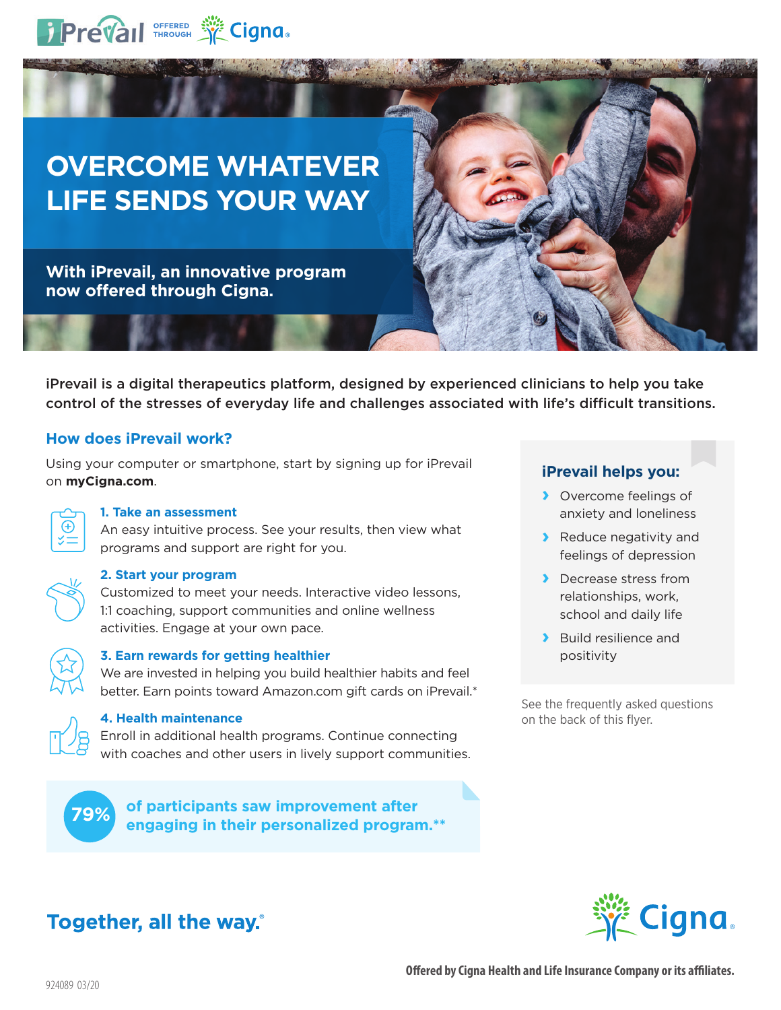

# **OVERCOME WHATEVER LIFE SENDS YOUR WAY**

**With iPrevail, an innovative program now offered through Cigna.**

iPrevail is a digital therapeutics platform, designed by experienced clinicians to help you take control of the stresses of everyday life and challenges associated with life's difficult transitions.

## **How does iPrevail work?**

Using your computer or smartphone, start by signing up for iPrevail on **myCigna.com**.



## **1. Take an assessment**

An easy intuitive process. See your results, then view what programs and support are right for you.



#### **2. Start your program**

Customized to meet your needs. Interactive video lessons, 1:1 coaching, support communities and online wellness activities. Engage at your own pace.



## **3. Earn rewards for getting healthier**

We are invested in helping you build healthier habits and feel better. Earn points toward Amazon.com gift cards on iPrevail.\*



## **4. Health maintenance**

Enroll in additional health programs. Continue connecting with coaches and other users in lively support communities.

**of participants saw improvement after engaging in their personalized program.\*\* 79%**

## **iPrevail helps you:**

- **›** Overcome feelings of anxiety and loneliness
- **›** Reduce negativity and feelings of depression
- **›** Decrease stress from relationships, work, school and daily life
- **›** Build resilience and positivity

See the frequently asked questions on the back of this flyer.